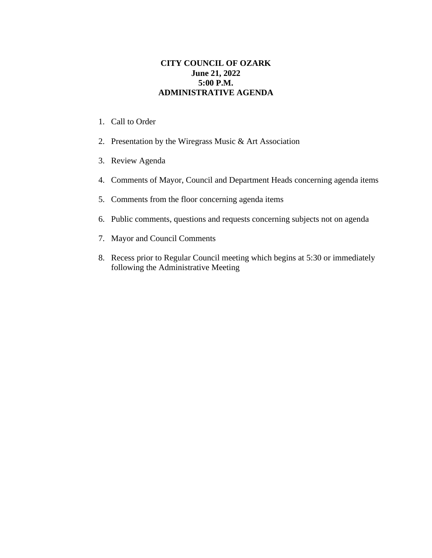## **CITY COUNCIL OF OZARK June 21, 2022 5:00 P.M. ADMINISTRATIVE AGENDA**

- 1. Call to Order
- 2. Presentation by the Wiregrass Music & Art Association
- 3. Review Agenda
- 4. Comments of Mayor, Council and Department Heads concerning agenda items
- 5. Comments from the floor concerning agenda items
- 6. Public comments, questions and requests concerning subjects not on agenda
- 7. Mayor and Council Comments
- 8. Recess prior to Regular Council meeting which begins at 5:30 or immediately following the Administrative Meeting